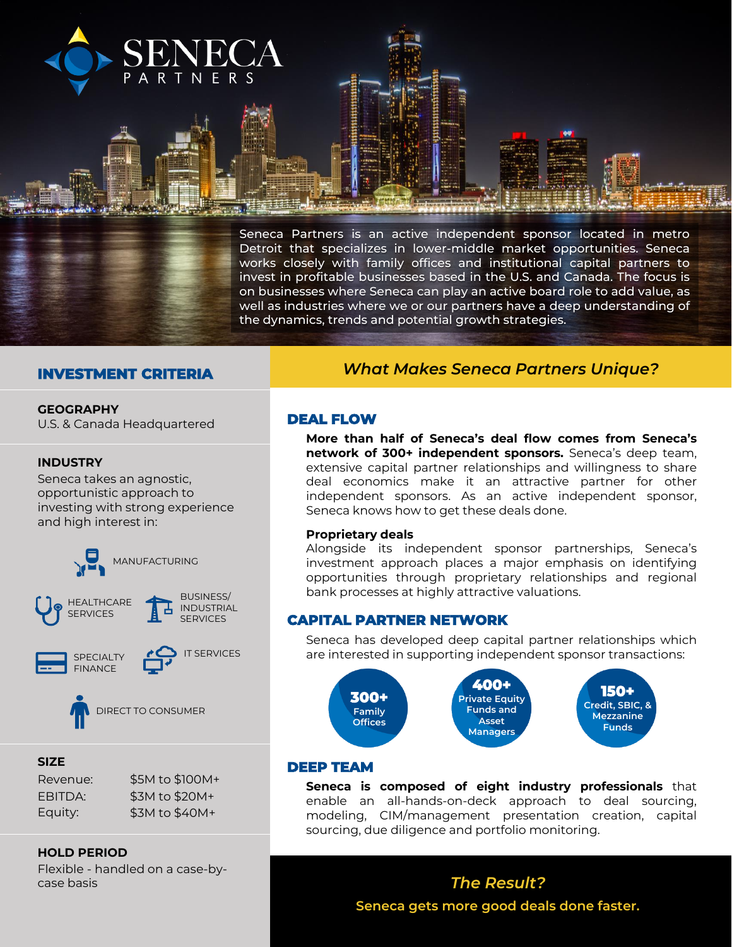

## **INVESTMENT CRITERIA**

#### **GEOGRAPHY**

U.S. & Canada Headquartered

#### **INDUSTRY**

Seneca takes an agnostic, opportunistic approach to investing with strong experience and high interest in:



DIRECT TO CONSUMER

#### **SIZE**

| Revenue: | \$5M to \$100M+ |
|----------|-----------------|
| EBITDA:  | \$3M to \$20M+  |
| Equity:  | \$3M to \$40M+  |

**HOLD PERIOD** 

Flexible - handled on a case-bycase basis

# *What Makes Seneca Partners Unique?*

## **DEAL FLOW**

**More than half of Seneca's deal flow comes from Seneca's network of 300+ independent sponsors.** Seneca's deep team, extensive capital partner relationships and willingness to share deal economics make it an attractive partner for other independent sponsors. As an active independent sponsor, Seneca knows how to get these deals done.

#### **Proprietary deals**

Alongside its independent sponsor partnerships, Seneca's investment approach places a major emphasis on identifying opportunities through proprietary relationships and regional bank processes at highly attractive valuations.

#### **CAPITAL PARTNER NETWORK**

Seneca has developed deep capital partner relationships which are interested in supporting independent sponsor transactions:



#### **DEEP TEAM**

**Seneca is composed of eight industry professionals** that enable an all-hands-on-deck approach to deal sourcing, modeling, CIM/management presentation creation, capital sourcing, due diligence and portfolio monitoring.

# *The Result?* **Seneca gets more good deals done faster.**